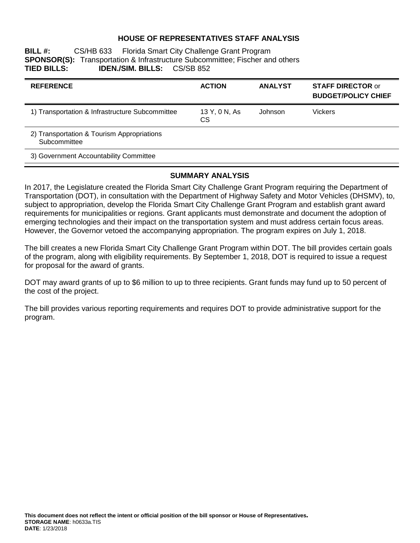## **HOUSE OF REPRESENTATIVES STAFF ANALYSIS**

**BILL #:** CS/HB 633 Florida Smart City Challenge Grant Program **SPONSOR(S):** Transportation & Infrastructure Subcommittee; Fischer and others **TIED BILLS: IDEN./SIM. BILLS:** CS/SB 852

| <b>REFERENCE</b>                                           | <b>ACTION</b>              | <b>ANALYST</b> | <b>STAFF DIRECTOR or</b><br><b>BUDGET/POLICY CHIEF</b> |
|------------------------------------------------------------|----------------------------|----------------|--------------------------------------------------------|
| 1) Transportation & Infrastructure Subcommittee            | 13 Y, 0 N, As<br><b>CS</b> | Johnson        | Vickers                                                |
| 2) Transportation & Tourism Appropriations<br>Subcommittee |                            |                |                                                        |
| 3) Government Accountability Committee                     |                            |                |                                                        |

### **SUMMARY ANALYSIS**

In 2017, the Legislature created the Florida Smart City Challenge Grant Program requiring the Department of Transportation (DOT), in consultation with the Department of Highway Safety and Motor Vehicles (DHSMV), to, subject to appropriation, develop the Florida Smart City Challenge Grant Program and establish grant award requirements for municipalities or regions. Grant applicants must demonstrate and document the adoption of emerging technologies and their impact on the transportation system and must address certain focus areas. However, the Governor vetoed the accompanying appropriation. The program expires on July 1, 2018.

The bill creates a new Florida Smart City Challenge Grant Program within DOT. The bill provides certain goals of the program, along with eligibility requirements. By September 1, 2018, DOT is required to issue a request for proposal for the award of grants.

DOT may award grants of up to \$6 million to up to three recipients. Grant funds may fund up to 50 percent of the cost of the project.

The bill provides various reporting requirements and requires DOT to provide administrative support for the program.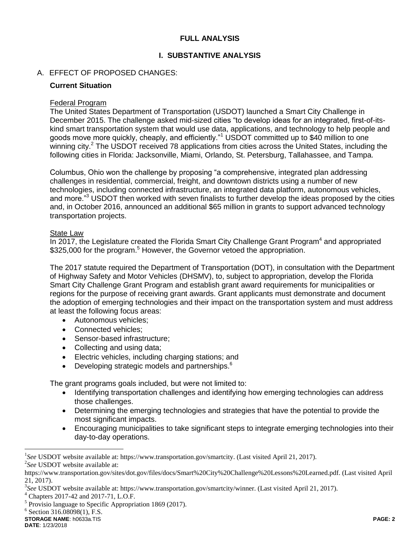## **FULL ANALYSIS**

# **I. SUBSTANTIVE ANALYSIS**

# A. EFFECT OF PROPOSED CHANGES:

### **Current Situation**

## Federal Program

The United States Department of Transportation (USDOT) launched a Smart City Challenge in December 2015. The challenge asked mid-sized cities "to develop ideas for an integrated, first-of-itskind smart transportation system that would use data, applications, and technology to help people and goods move more quickly, cheaply, and efficiently."<sup>1</sup> USDOT committed up to \$40 million to one winning city.<sup>2</sup> The USDOT received 78 applications from cities across the United States, including the following cities in Florida: Jacksonville, Miami, Orlando, St. Petersburg, Tallahassee, and Tampa.

Columbus, Ohio won the challenge by proposing "a comprehensive, integrated plan addressing challenges in residential, commercial, freight, and downtown districts using a number of new technologies, including connected infrastructure, an integrated data platform, autonomous vehicles, and more."<sup>3</sup> USDOT then worked with seven finalists to further develop the ideas proposed by the cities and, in October 2016, announced an additional \$65 million in grants to support advanced technology transportation projects.

### State Law

In 2017, the Legislature created the Florida Smart City Challenge Grant Program $4$  and appropriated \$325,000 for the program.<sup>5</sup> However, the Governor vetoed the appropriation.

The 2017 statute required the Department of Transportation (DOT), in consultation with the Department of Highway Safety and Motor Vehicles (DHSMV), to, subject to appropriation, develop the Florida Smart City Challenge Grant Program and establish grant award requirements for municipalities or regions for the purpose of receiving grant awards. Grant applicants must demonstrate and document the adoption of emerging technologies and their impact on the transportation system and must address at least the following focus areas:

- Autonomous vehicles:
- Connected vehicles:
- Sensor-based infrastructure;
- Collecting and using data;
- Electric vehicles, including charging stations; and
- Developing strategic models and partnerships.<sup>6</sup>

The grant programs goals included, but were not limited to:

- Identifying transportation challenges and identifying how emerging technologies can address those challenges.
- Determining the emerging technologies and strategies that have the potential to provide the most significant impacts.
- Encouraging municipalities to take significant steps to integrate emerging technologies into their day-to-day operations.

 $\overline{a}$ 

<sup>&</sup>lt;sup>1</sup>See USDOT website available at: https://www.transportation.gov/smartcity. (Last visited April 21, 2017). 2 *See* USDOT website available at:

https://www.transportation.gov/sites/dot.gov/files/docs/Smart%20City%20Challenge%20Lessons%20Learned.pdf. (Last visited April 21, 2017).

<sup>3</sup> *See* USDOT website available at: https://www.transportation.gov/smartcity/winner. (Last visited April 21, 2017).

<sup>4</sup> Chapters 2017-42 and 2017-71, L.O.F.

<sup>&</sup>lt;sup>5</sup> Provisio language to Specific Appropriation 1869 (2017).

<sup>&</sup>lt;sup>6</sup> Section 316.08098(1), F.S.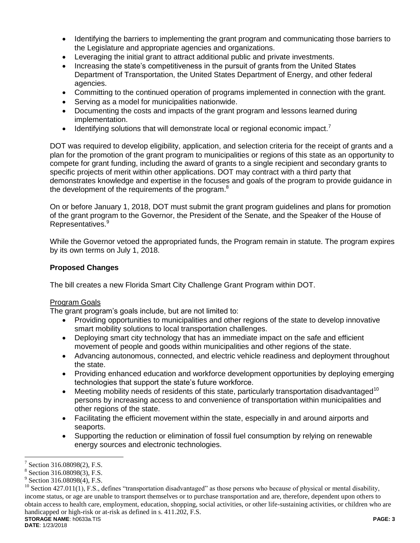- Identifying the barriers to implementing the grant program and communicating those barriers to the Legislature and appropriate agencies and organizations.
- Leveraging the initial grant to attract additional public and private investments.
- Increasing the state's competitiveness in the pursuit of grants from the United States Department of Transportation, the United States Department of Energy, and other federal agencies.
- Committing to the continued operation of programs implemented in connection with the grant.
- Serving as a model for municipalities nationwide.
- Documenting the costs and impacts of the grant program and lessons learned during implementation.
- **IDENTIFY IDENTIFY IDEOTATA IDEDET IDEDET IDEDET IDEDET IDEDET IDEDET IDEDET IDEDET IDEDET IDEDETE IDEDETE IDEDETE IDEDETE IDEDETE IDEDETE IDEDETE**

DOT was required to develop eligibility, application, and selection criteria for the receipt of grants and a plan for the promotion of the grant program to municipalities or regions of this state as an opportunity to compete for grant funding, including the award of grants to a single recipient and secondary grants to specific projects of merit within other applications. DOT may contract with a third party that demonstrates knowledge and expertise in the focuses and goals of the program to provide guidance in the development of the requirements of the program.<sup>8</sup>

On or before January 1, 2018, DOT must submit the grant program guidelines and plans for promotion of the grant program to the Governor, the President of the Senate, and the Speaker of the House of Representatives.<sup>9</sup>

While the Governor vetoed the appropriated funds, the Program remain in statute. The program expires by its own terms on July 1, 2018.

# **Proposed Changes**

The bill creates a new Florida Smart City Challenge Grant Program within DOT.

## Program Goals

The grant program's goals include, but are not limited to:

- Providing opportunities to municipalities and other regions of the state to develop innovative smart mobility solutions to local transportation challenges.
- Deploying smart city technology that has an immediate impact on the safe and efficient movement of people and goods within municipalities and other regions of the state.
- Advancing autonomous, connected, and electric vehicle readiness and deployment throughout the state.
- Providing enhanced education and workforce development opportunities by deploying emerging technologies that support the state's future workforce.
- $\bullet$  Meeting mobility needs of residents of this state, particularly transportation disadvantaged<sup>10</sup> persons by increasing access to and convenience of transportation within municipalities and other regions of the state.
- Facilitating the efficient movement within the state, especially in and around airports and seaports.
- Supporting the reduction or elimination of fossil fuel consumption by relying on renewable energy sources and electronic technologies.

 $\overline{a}$ 7 Section 316.08098(2), F.S.

<sup>8</sup> Section 316.08098(3), F.S.

<sup>&</sup>lt;sup>9</sup> Section 316.08098(4), F.S.

**STORAGE NAME**: h0633a.TIS **PAGE: 3**  $^{10}$  Section 427.011(1), F.S., defines "transportation disadvantaged" as those persons who because of physical or mental disability, income status, or age are unable to transport themselves or to purchase transportation and are, therefore, dependent upon others to obtain access to health care, employment, education, shopping, social activities, or other life-sustaining activities, or children who are handicapped or high-risk or at-risk as defined in s. 411.202, F.S.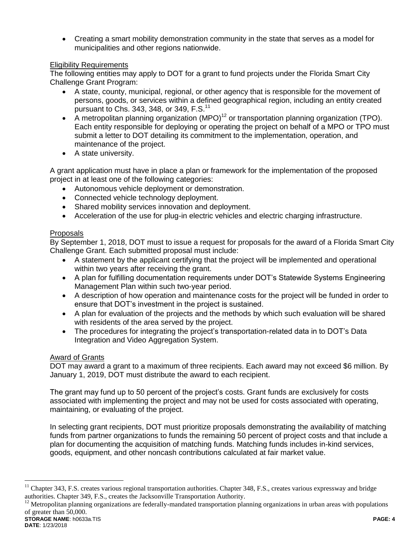Creating a smart mobility demonstration community in the state that serves as a model for municipalities and other regions nationwide.

# Eligibility Requirements

The following entities may apply to DOT for a grant to fund projects under the Florida Smart City Challenge Grant Program:

- A state, county, municipal, regional, or other agency that is responsible for the movement of persons, goods, or services within a defined geographical region, including an entity created pursuant to Chs. 343, 348, or 349,  $F.S.<sup>11</sup>$
- A metropolitan planning organization  $(MPO)^{12}$  or transportation planning organization (TPO). Each entity responsible for deploying or operating the project on behalf of a MPO or TPO must submit a letter to DOT detailing its commitment to the implementation, operation, and maintenance of the project.
- A state university.

A grant application must have in place a plan or framework for the implementation of the proposed project in at least one of the following categories:

- Autonomous vehicle deployment or demonstration.
- Connected vehicle technology deployment.
- Shared mobility services innovation and deployment.
- Acceleration of the use for plug-in electric vehicles and electric charging infrastructure.

# Proposals

By September 1, 2018, DOT must to issue a request for proposals for the award of a Florida Smart City Challenge Grant. Each submitted proposal must include:

- A statement by the applicant certifying that the project will be implemented and operational within two years after receiving the grant.
- A plan for fulfilling documentation requirements under DOT's Statewide Systems Engineering Management Plan within such two-year period.
- A description of how operation and maintenance costs for the project will be funded in order to ensure that DOT's investment in the project is sustained.
- A plan for evaluation of the projects and the methods by which such evaluation will be shared with residents of the area served by the project.
- The procedures for integrating the project's transportation-related data in to DOT's Data Integration and Video Aggregation System.

## Award of Grants

DOT may award a grant to a maximum of three recipients. Each award may not exceed \$6 million. By January 1, 2019, DOT must distribute the award to each recipient.

The grant may fund up to 50 percent of the project's costs. Grant funds are exclusively for costs associated with implementing the project and may not be used for costs associated with operating, maintaining, or evaluating of the project.

In selecting grant recipients, DOT must prioritize proposals demonstrating the availability of matching funds from partner organizations to funds the remaining 50 percent of project costs and that include a plan for documenting the acquisition of matching funds. Matching funds includes in-kind services, goods, equipment, and other noncash contributions calculated at fair market value.

 $\overline{a}$ 

<sup>&</sup>lt;sup>11</sup> Chapter 343, F.S. creates various regional transportation authorities. Chapter 348, F.S., creates various expressway and bridge authorities. Chapter 349, F.S., creates the Jacksonville Transportation Authority.

**STORAGE NAME**: h0633a.TIS **PAGE: 4**  $12$  Metropolitan planning organizations are federally-mandated transportation planning organizations in urban areas with populations of greater than 50,000.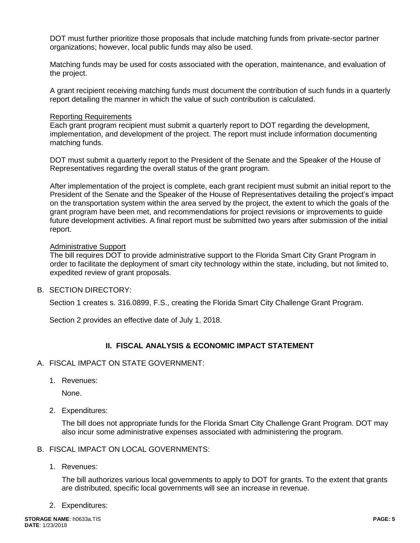DOT must further prioritize those proposals that include matching funds from private-sector partner organizations; however, local public funds may also be used.

Matching funds may be used for costs associated with the operation, maintenance, and evaluation of the project.

A grant recipient receiving matching funds must document the contribution of such funds in a quarterly report detailing the manner in which the value of such contribution is calculated.

#### Reporting Requirements

Each grant program recipient must submit a quarterly report to DOT regarding the development, implementation, and development of the project. The report must include information documenting matching funds.

DOT must submit a quarterly report to the President of the Senate and the Speaker of the House of Representatives regarding the overall status of the grant program.

After implementation of the project is complete, each grant recipient must submit an initial report to the President of the Senate and the Speaker of the House of Representatives detailing the project's impact on the transportation system within the area served by the project, the extent to which the goals of the grant program have been met, and recommendations for project revisions or improvements to guide future development activities. A final report must be submitted two years after submission of the initial report.

### Administrative Support

The bill requires DOT to provide administrative support to the Florida Smart City Grant Program in order to facilitate the deployment of smart city technology within the state, including, but not limited to, expedited review of grant proposals.

## B. SECTION DIRECTORY:

Section 1 creates s. 316.0899, F.S., creating the Florida Smart City Challenge Grant Program.

Section 2 provides an effective date of July 1, 2018.

# **II. FISCAL ANALYSIS & ECONOMIC IMPACT STATEMENT**

## A. FISCAL IMPACT ON STATE GOVERNMENT:

1. Revenues:

None.

2. Expenditures:

The bill does not appropriate funds for the Florida Smart City Challenge Grant Program. DOT may also incur some administrative expenses associated with administering the program.

#### B. FISCAL IMPACT ON LOCAL GOVERNMENTS:

1. Revenues:

The bill authorizes various local governments to apply to DOT for grants. To the extent that grants are distributed, specific local governments will see an increase in revenue.

2. Expenditures: